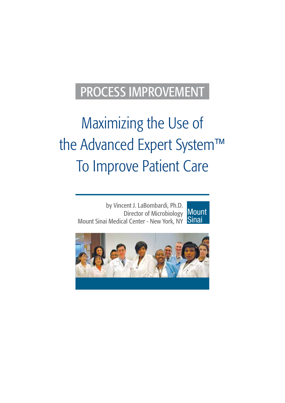# PROCESS IMPROVEMENT

# Maximizing the Use of the Advanced Expert System™ To Improve Patient Care

by Vincent J. LaBombardi, Ph.D. Director of Microbiology Mount Sinai Medical Center - New York, NY **Mount Sinai** 

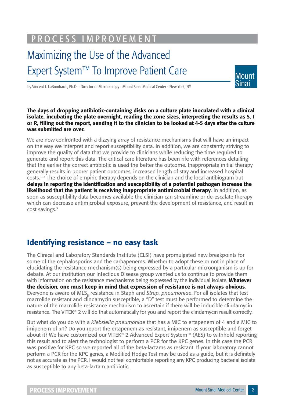PROCESS IMPROVEMENT

## Maximizing the Use of the Advanced Expert System™ To Improve Patient Care



by Vincent J. LaBombardi, Ph.D. - Director of Microbiology - Mount Sinai Medical Center - New York, NY

**The days of dropping antibiotic-containing disks on a culture plate inoculated with a clinical isolate, incubating the plate overnight, reading the zone sizes, interpreting the results as S, I**  or R. filling out the report, sending it to the clinician to be looked at 4-5 days after the culture **was submitted are over.** 

We are now confronted with a dizzying array of resistance mechanisms that will have an impact on the way we interpret and report susceptibility data. In addition, we are constantly striving to improve the quality of data that we provide to clinicians while reducing the time required to generate and report this data. The critical care literature has been rife with references detailing that the earlier the correct antibiotic is used the better the outcome. Inappropriate initial therapy generally results in poorer patient outcomes, increased length of stay and increased hospital costs.<sup>1, 2</sup> The choice of empiric therapy depends on the clinician and the local antibiogram but delays in reporting the identification and susceptibility of a potential pathogen increase the **likelihood that the patient is receiving inappropriate antimicrobial therapy**. In addition, as soon as susceptibility data becomes available the clinician can streamline or de-escalate therapy which can decrease antimicrobial exposure, prevent the development of resistance, and result in cost savings.<sup>3</sup>

#### **Identifying resistance – no easy task**

The Clinical and Laboratory Standards Institute (CLSI) have promulgated new breakpoints for some of the cephalosporins and the carbapenems. Whether to adopt these or not in place of elucidating the resistance mechanism(s) being expressed by a particular microorganism is up for debate. At our institution our Infectious Disease group wanted us to continue to provide them with information on the resistance mechanisms being expressed by the individual isolate. **Whatever the decision, one must keep in mind that expression of resistance is not always obvious**. Everyone is aware of MLS<sub>B</sub> resistance in Staph and *Strep. pneumoniae*. For all isolates that test macrolide resistant and clindamycin susceptible, a "D" test must be performed to determine the nature of the macrolide resistance mechanism to ascertain if there will be inducible clindamycin resistance. The VITEK® 2 will do that automatically for you and report the clindamycin result correctly.

But what do you do with a *Klebsiella pneumoniae* that has a MIC to ertapenem of 4 and a MIC to imipenem of ≤1? Do you report the ertapenem as resistant, imipenem as susceptible and forget about it? We have customized our VITEK® 2 Advanced Expert System™ (AES) to withhold reporting this result and to alert the technologist to perform a PCR for the KPC genes. In this case the PCR was positive for KPC so we reported all of the beta-lactams as resistant. If your laboratory cannot perform a PCR for the KPC genes, a Modified Hodge Test may be used as a guide, but it is definitely not as accurate as the PCR. I would not feel comfortable reporting any KPC producing bacterial isolate as susceptible to any beta-lactam antibiotic.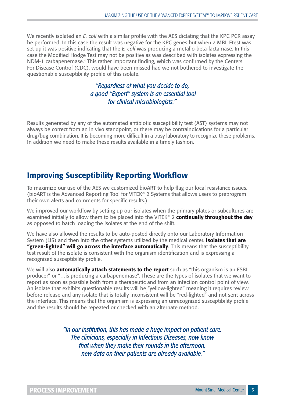We recently isolated an *E. coli* with a similar profile with the AES dictating that the KPC PCR assay be performed. In this case the result was negative for the KPC genes but when a MBL Etest was set up it was positive indicating that the *E. coli* was producing a metallo-beta-lactamase. In this case the Modified Hodge Test may not be positive as was described with isolates expressing the NDM-1 carbapenemase.<sup>4</sup> This rather important finding, which was confirmed by the Centers For Disease Control (CDC), would have been missed had we not bothered to investigate the questionable susceptibility profile of this isolate.

> *"Regardless of what you decide to do, a good "Expert" system is an essential tool for clinical microbiologists."*

Results generated by any of the automated antibiotic susceptibility test (AST) systems may not always be correct from an in vivo standpoint, or there may be contraindications for a particular drug/bug combination. It is becoming more difficult in a busy laboratory to recognize these problems. In addition we need to make these results available in a timely fashion.

#### **Improving Susceptibility Reporting Workflow**

To maximize our use of the AES we customized bioART to help flag our local resistance issues. (bioART is the Advanced Reporting Tool for VITEK® 2 Systems that allows users to preprogram their own alerts and comments for specific results.)

We improved our workflow by setting up our isolates when the primary plates or subcultures are examined initially to allow them to be placed into the VITEK® 2 **continually throughout the day** as opposed to batch loading the isolates at the end of the shift.

We have also allowed the results to be auto-posted directly onto our Laboratory Information System (LIS) and then into the other systems utilized by the medical center. **Isolates that are "green-lighted" will go across the interface automatically**. This means that the susceptibility test result of the isolate is consistent with the organism identification and is expressing a recognized susceptibility profile.

We will also **automatically attach statements to the report** such as "this organism is an ESBL producer" or "…is producing a carbapenemase". These are the types of isolates that we want to report as soon as possible both from a therapeutic and from an infection control point of view. An isolate that exhibits questionable results will be "yellow-lighted" meaning it requires review before release and any isolate that is totally inconsistent will be "red-lighted" and not sent across the interface. This means that the organism is expressing an unrecognized susceptibility profile and the results should be repeated or checked with an alternate method.

> *"In our institution, this has made a huge impact on patient care. The clinicians, especially in Infectious Diseases, now know that when they make their rounds in the afternoon, new data on their patients are already available."*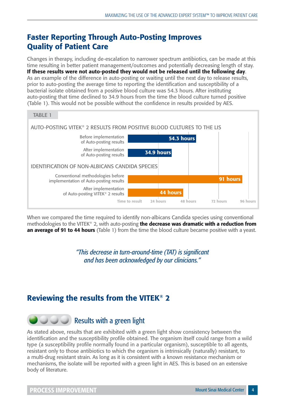### **Faster Reporting Through Auto-Posting Improves Quality of Patient Care**

Changes in therapy, including de-escalation to narrower spectrum antibiotics, can be made at this time resulting in better patient management/outcomes and potentially decreasing length of stay. **If these results were not auto-posted they would not be released until the following day**. As an example of the difference in auto-posting or waiting until the next day to release results, prior to auto-posting the average time to reporting the identification and susceptibility of a bacterial isolate obtained from a positive blood culture was 54.3 hours. After instituting auto-posting that time declined to 34.9 hours from the time the blood culture turned positive (Table 1). This would not be possible without the confidence in results provided by AES.



When we compared the time required to identify non-albicans Candida species using conventional methodologies to the VITEK® 2, with auto-posting **the decrease was dramatic with a reduction from an average of 91 to 44 hours** (Table 1) from the time the blood culture became positive with a yeast.

> *"This decrease in turn-around-time (TAT) is signifi cant and has been acknowledged by our clinicians."*

#### **Reviewing the results from the VITEK® 2**

### **COU** Results with a green light

As stated above, results that are exhibited with a green light show consistency between the identification and the susceptibility profile obtained. The organism itself could range from a wild type (a susceptibility profile normally found in a particular organism), susceptible to all agents, resistant only to those antibiotics to which the organism is intrinsically (naturally) resistant, to a multi-drug resistant strain. As long as it is consistent with a known resistance mechanism or mechanisms, the isolate will be reported with a green light in AES. This is based on an extensive body of literature.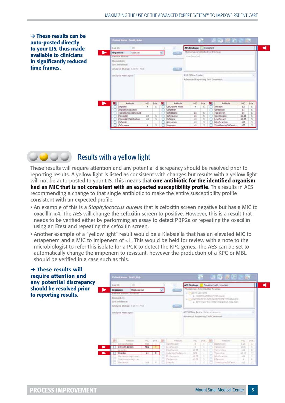➔ **These results can be auto-posted directly to your LIS, thus made available to clinicians in significantly reduced time frames.** 

| Lab ID:<br>203                                                |     |          |            | $\sim$                | <b>AFS Findings:</b>            | Consatent: |     |                                           |                   |        |
|---------------------------------------------------------------|-----|----------|------------|-----------------------|---------------------------------|------------|-----|-------------------------------------------|-------------------|--------|
| <b>Organism:</b><br>Esch.coli                                 |     |          |            | 0.54302               | Phenotypes Selected for Review: |            |     |                                           |                   |        |
| Review Status:                                                |     |          |            |                       | Nane Defacted                   |            |     |                                           |                   |        |
| Bismumfoer:<br>1D Camfidence:<br>Analysis Status: U.S.V. Your |     |          |            | <b>CENTRAL</b>        |                                 |            |     |                                           |                   |        |
| Analysis Messages:                                            |     |          |            |                       | AST Office Tests:               |            |     |                                           |                   |        |
|                                                               |     |          |            |                       |                                 |            |     | Advanced Reporting Taol Comment:          |                   |        |
|                                                               |     |          |            |                       |                                 |            |     |                                           |                   |        |
| <b>Antibiotic</b>                                             | HIC | $1$ rite | <b>XEI</b> | <b>Antibiotic</b>     | MIC                             | Inte       | NF. | Artibiotic                                | MG.               |        |
| Ampicilin                                                     | ٠   | s        |            | Cefuroxime Axetti     | ٠                               | s          |     | Amluscin                                  | $\pm 2$           | Inte.  |
| Ampic@n/Suibactam                                             |     |          |            | Cefotetan             |                                 |            |     | Gent amicon                               | $\leq$ 1          | ŝ      |
| Ticarolin/ClayJanic Acid                                      |     |          |            | Ceftabdine            | $\leq 1$                        | s          |     | Tobramycin                                | $\pm i$           | s      |
| Poeracilin                                                    | 14  | 5        |            | Ceftrialcone          | $\leq 1$                        | 5          |     | Cioroffoxacin                             | \$0.25            | 3      |
| Foeracilin/Tatobactam                                         | 54  | 5        |            | Cefepine              | $\leq 1$                        | 5          |     | Levollouson                               | \$0.25            | 5      |
| Cefandin<br>Cefurakme                                         | ٠   | s        |            | Attrebham<br>Injoenen | 51<br>$\leq 1$                  | s<br>s     |     | hatrofurantoin<br>Trimethoprim25uff amet. | <b>516</b><br>s20 | 5<br>5 |



These results will require attention and any potential discrepancy should be resolved prior to reporting results. A yellow light is listed as consistent with changes but results with a yellow light will not be auto-posted to your LIS. This means that **one antibiotic for the identified organism** had an MIC that is not consistent with an expected susceptibility profile. This results in AES recommending a change to that single antibiotic to make the entire susceptibility profile consistent with an expected profile.

- An example of this is a *Staphylococcus aureus* that is cefoxitin screen negative but has a MIC to oxacillin ≥4. The AES will change the cefoxitin screen to positive. However, this is a result that needs to be verified either by performing an assay to detect PBP2a or repeating the oxacillin using an Etest and repeating the cefoxitin screen.
- Another example of a "yellow light" result would be a Klebsiella that has an elevated MIC to ertapenem and a MIC to imipenem of  $\leq 1$ . This would be held for review with a note to the microbiologist to refer this isolate for a PCR to detect the KPC genes. The AES can be set to automatically change the imipenem to resistant, however the production of a KPC or MBL should be verified in a case such as this.

| $\rightarrow$ These results will<br>require attention and                      | Patient Name: Smith, Bob.                                                                                                                                                                                                                                                                                                      | 2001日第18                                                                                                                                                                                                                                                                                                         |
|--------------------------------------------------------------------------------|--------------------------------------------------------------------------------------------------------------------------------------------------------------------------------------------------------------------------------------------------------------------------------------------------------------------------------|------------------------------------------------------------------------------------------------------------------------------------------------------------------------------------------------------------------------------------------------------------------------------------------------------------------|
| any potential discrepancy<br>should be resolved prior<br>to reporting results. | 454<br>Lish 10%<br><b>Organisme</b><br><b>Stach aureur</b><br><b>CELLEN</b><br>Review Mature:<br>Saveness.<br>Bionumberi<br>15 Cenfidence<br>Analysis Status: 9.25 lv - Final<br><b>COLLE</b><br>Analysis Messages)                                                                                                            | Consistent with correction<br><b>AES Findings:</b><br>a<br>Phenotypes Selected for Review<br><b>WELL-SETALACTARE</b><br>@ NODIFICATION OF REP (meck)<br>WHY HACKOUTES LEADER RESIDENT DERAIDS<br># REDSTANT TO ETREPTOGRANDIC (SGA-5GR)<br>AST Office Testa: Rata Latenase +<br>Advanced Reporting Tool Comment: |
|                                                                                | <b>FOL</b><br>I'da.<br>Antikidad<br><b>Armoring</b><br><b>POS</b><br>Contributor<br><b>KCRC Informan</b><br>Cefoxitin Screen<br><b>IEG</b><br>Lavefucern<br>Hydrocent<br>Inductive Cindans on<br>Oxacilin<br>24<br>Evthrativos<br>Gert Ancora, Hogh Likuel<br>Streamands High Lini<br>Cindanych<br>339<br>Leapild<br>Cartanico | Artistic<br>102<br><b>HSC</b><br>DO#<br>2024<br>2.25<br>Darforschr<br>$+5.5$<br>Valuation<br>12.21<br>Tehner advise<br>218<br><b>NES</b><br>33.12<br>Totodre<br>52.25<br>February and the American<br>111<br>55.25<br><b>Réimpon</b><br>÷<br>Transithus in Gulfamat.<br>\$10                                     |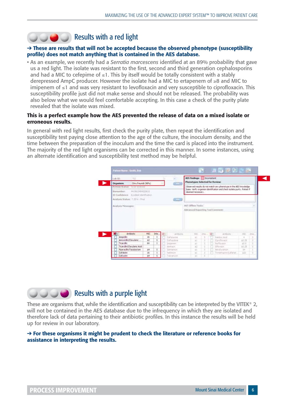### **COOO** Results with a red light

#### ➔ **These are results that will not be accepted because the observed phenotype (susceptibility profile)** does not match anything that is contained in the AES database.

• As an example, we recently had a *Serratia marcescens* identified at an 89% probability that gave us a red light. The isolate was resistant to the first, second and third generation cephalosporins and had a MIC to cefepime of  $\leq 1$ . This by itself would be totally consistent with a stably derepressed AmpC producer. However the isolate had a MIC to ertapenem of ≥8 and MIC to imipenem of ≤1 and was very resistant to levofloxacin and very susceptible to ciprofloxacin. This susceptibility profile just did not make sense and should not be released. The probability was also below what we would feel comfortable accepting. In this case a check of the purity plate revealed that the isolate was mixed.

#### **This is a perfect example how the AES prevented the release of data on a mixed isolate or erroneous results.**

In general with red light results, first check the purity plate, then repeat the identification and susceptibility test paying close attention to the age of the culture, the inoculum density, and the time between the preparation of the inoculum and the time the card is placed into the instrument. The majority of the red light organisms can be corrected in this manner. In some instances, using an alternate identification and susceptibility test method may be helpful.



### **COOO** Results with a purple light

These are organisms that, while the identification and susceptibility can be interpreted by the VITEK® 2, will not be contained in the AES database due to the infrequency in which they are isolated and therefore lack of data pertaining to their antibiotic profiles. In this instance the results will be held up for review in our laboratory.

#### ➔ **For these organisms it might be prudent to check the literature or reference books for assistance in interpreting the results.**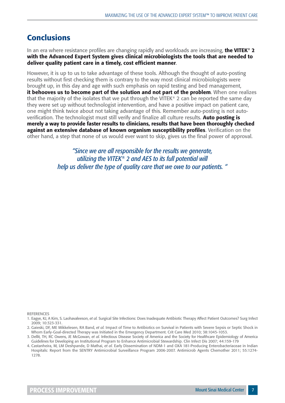#### **Conclusions**

In an era where resistance profiles are changing rapidly and workloads are increasing, **the VITEK<sup>®</sup> 2 with the Advanced Expert System gives clinical microbiologists the tools that are needed to**  deliver quality patient care in a timely, cost efficient manner.

However, it is up to us to take advantage of these tools. Although the thought of auto-posting results without first checking them is contrary to the way most clinical microbiologists were brought up, in this day and age with such emphasis on rapid testing and bed management, **it behooves us to become part of the solution and not part of the problem**. When one realizes that the majority of the isolates that we put through the VITEK® 2 can be reported the same day they were set up without technologist intervention, and have a positive impact on patient care, one might think twice about not taking advantage of this. Remember auto-posting is not autoverification. The technologist must still verify and finalize all culture results. Auto posting is **merely a way to provide faster results to clinicians, results that have been thoroughly checked**  against an extensive database of known organism susceptibility profiles. Verification on the other hand, a step that none of us would ever want to skip, gives us the final power of approval.

> *"Since we are all responsible for the results we generate, utilizing the VITEK® 2 and AES to its full potential will help us deliver the type of quality care that we owe to our patients. "*

REFERENCES

<sup>1.</sup> Eagye, KJ, A Kim, S. Laohavaleeson, *et al.* Surgical Site Infections: Does Inadequate Antibiotic Therapy Affect Patient Outcomes? Surg Infect 2009; 10:323-331.

<sup>2.</sup> Gaieski, DF, ME Mikkelesen, RA Band, *et al.* Impact of Time to Antibiotics on Survival in Patients with Severe Sepsis or Septic Shock in Whom Early-Goal-directed Therapy was Initiated in the Emergency Department. Crit Care Med 2010; 38:1045-1053.

<sup>3.</sup> Dellit, TH, RC Owens, JE McGowan, *et al.* Infectious Disease Society of America and the Society for Healthcare Epidemiology of America Guidelines for Developing an Institutional Program to Enhance Antimicrobial Stewardship. Clin Infect Dis 2007; 44:159-179

<sup>4.</sup> Castanheira, M, LM Deshpande, D Mathai, *et al.* Early Dissemination of NDM-1 and OXA 181-Producing Enterobacteriaceae in Indian Hospitals: Report from the SENTRY Antimicrobial Surveillance Program 2006-2007. Antimicrob Agents Chemother 2011; 55:1274- 1278.